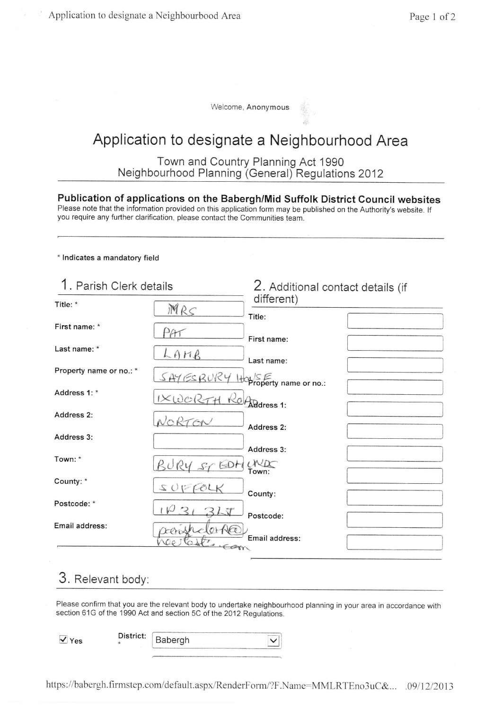Welcome, Anonymous

## Application to designate a Neighbourhood Area

# Town and Country Planning Act 1990<br>Neighbourhood Planning (General) Regulations 2012

Publication of applications on the Babergh/Mid Suffolk District Council websites

Please note that the information provided on this application form may be published on the Authority's website. If you require any further clarification, please contact the Communities team.

#### \* Indicates a mandatory field

| 1. Parish Clerk details |                     | 2. Additional contact details (if |  |
|-------------------------|---------------------|-----------------------------------|--|
| Title: *                | MRS                 | different)                        |  |
| First name: *           | PAT                 | Title:                            |  |
| Last name: *            |                     | First name:                       |  |
|                         | LATB                | Last name:                        |  |
| Property name or no.: * |                     | SAYES RURY Howsferty name or no.: |  |
| Address 1: *            | KWORTH RoAddress 1: |                                   |  |
| Address 2:              | NORTON              |                                   |  |
| Address 3:              |                     | Address 2:                        |  |
| Town: *                 |                     | Address 3:                        |  |
|                         | RURY                | $\frac{C N}{C}$                   |  |
| County: *               | SUFFOLK             | County:                           |  |
| Postcode: *             | $\sqrt{2}$<br>31    | Postcode:                         |  |
| Email address:          |                     |                                   |  |
|                         |                     | Email address:                    |  |

### 3. Relevant body:

Please confirm that you are the relevant body to undertake neighbourhood planning in your area in accordance with section 61G of the 1990 Act and section 5C of the 2012 Regulations.

| es | District:<br>552 | Babergh |  |
|----|------------------|---------|--|
|    |                  |         |  |

https://babergh.firmstep.com/default.aspx/RenderForm/?F.Name=MMLRTEno3uC&... .09/12/2013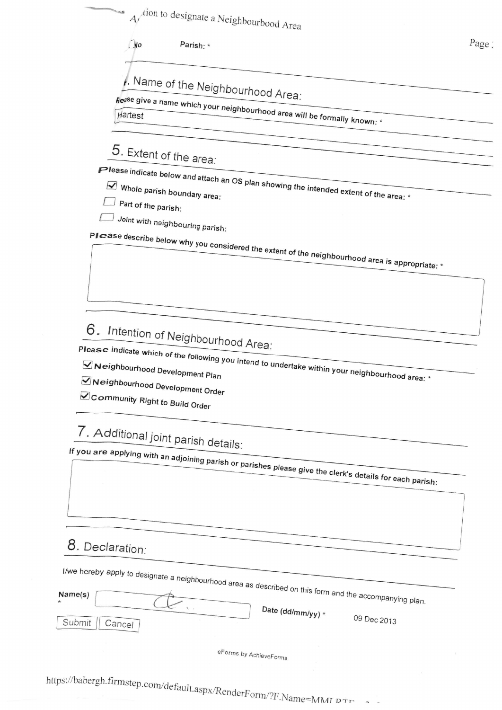|    | tion to designate a Neighbourbood Area                                                                                      |       |
|----|-----------------------------------------------------------------------------------------------------------------------------|-------|
|    | $\sqrt{10}$<br>Parish: *                                                                                                    | Page: |
|    |                                                                                                                             |       |
|    | . Name of the Neighbourhood Area:                                                                                           |       |
|    |                                                                                                                             |       |
|    | he <sup>gse</sup> give a name which your neighbourhood area will be formally known: *                                       |       |
|    |                                                                                                                             |       |
|    | 5. Extent of the area:                                                                                                      |       |
|    | Please indicate below and attach an OS plan showing the intended extent of the area: *                                      |       |
|    |                                                                                                                             |       |
|    | Part of the parish:                                                                                                         |       |
|    | Joint with neighbouring parish:                                                                                             |       |
|    | Please describe below why you considered the extent of the neighbourhood area is appropriate: *                             |       |
|    |                                                                                                                             |       |
|    |                                                                                                                             |       |
|    |                                                                                                                             |       |
|    |                                                                                                                             |       |
|    |                                                                                                                             |       |
| 6. |                                                                                                                             |       |
|    |                                                                                                                             |       |
|    |                                                                                                                             |       |
|    | Intention of Neighbourhood Area:                                                                                            |       |
|    |                                                                                                                             |       |
|    | Please indicate which of the following you intend to undertake within your neighbourhood area: *                            |       |
|    | ONeighbourhood Development Order                                                                                            |       |
|    | Community Right to Build Order                                                                                              |       |
|    |                                                                                                                             |       |
|    | 7. Additional joint parish details:                                                                                         |       |
|    |                                                                                                                             |       |
|    |                                                                                                                             |       |
|    | If you are applying with an adjoining parish or parishes please give the clerk's details for each parish:                   |       |
|    |                                                                                                                             |       |
|    |                                                                                                                             |       |
|    |                                                                                                                             |       |
|    | 8. Declaration:<br>I/we hereby apply to designate a neighbourhood area as described on this form and the accompanying plan. |       |

|  | eForms by AchieveForms |
|--|------------------------|
|--|------------------------|

 $\left($ 

Cancel

Submit

 $\tilde{\chi}_{\rm C}$  ,

 $\hat{ }$ 

Date (dd/mm/yy) \*

09 Dec 2013

 $\bar{\nu}$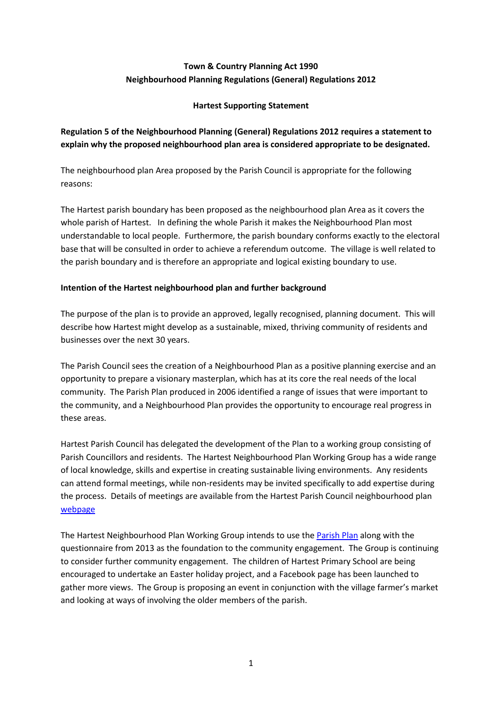#### **Town & Country Planning Act 1990 Neighbourhood Planning Regulations (General) Regulations 2012**

#### **Hartest Supporting Statement**

#### **Regulation 5 of the Neighbourhood Planning (General) Regulations 2012 requires a statement to explain why the proposed neighbourhood plan area is considered appropriate to be designated.**

The neighbourhood plan Area proposed by the Parish Council is appropriate for the following reasons:

The Hartest parish boundary has been proposed as the neighbourhood plan Area as it covers the whole parish of Hartest. In defining the whole Parish it makes the Neighbourhood Plan most understandable to local people. Furthermore, the parish boundary conforms exactly to the electoral base that will be consulted in order to achieve a referendum outcome. The village is well related to the parish boundary and is therefore an appropriate and logical existing boundary to use.

#### **Intention of the Hartest neighbourhood plan and further background**

The purpose of the plan is to provide an approved, legally recognised, planning document. This will describe how Hartest might develop as a sustainable, mixed, thriving community of residents and businesses over the next 30 years.

The Parish Council sees the creation of a Neighbourhood Plan as a positive planning exercise and an opportunity to prepare a visionary masterplan, which has at its core the real needs of the local community. The Parish Plan produced in 2006 identified a range of issues that were important to the community, and a Neighbourhood Plan provides the opportunity to encourage real progress in these areas.

Hartest Parish Council has delegated the development of the Plan to a working group consisting of Parish Councillors and residents. The Hartest Neighbourhood Plan Working Group has a wide range of local knowledge, skills and expertise in creating sustainable living environments. Any residents can attend formal meetings, while non-residents may be invited specifically to add expertise during the process. Details of meetings are available from the Hartest Parish Council neighbourhood plan [webpage](http://hartest.onesuffolk.net/our-village/neighbourhood-plan/)

The Hartest Neighbourhood Plan Working Group intends to use th[e Parish Plan](http://www.babergh.gov.uk/assets/Uploads-BDC/Economy/Strategic-Planning-Policy/Parish-Plans/Hartest2006.pdf) along with the questionnaire from 2013 as the foundation to the community engagement. The Group is continuing to consider further community engagement. The children of Hartest Primary School are being encouraged to undertake an Easter holiday project, and a Facebook page has been launched to gather more views. The Group is proposing an event in conjunction with the village farmer's market and looking at ways of involving the older members of the parish.